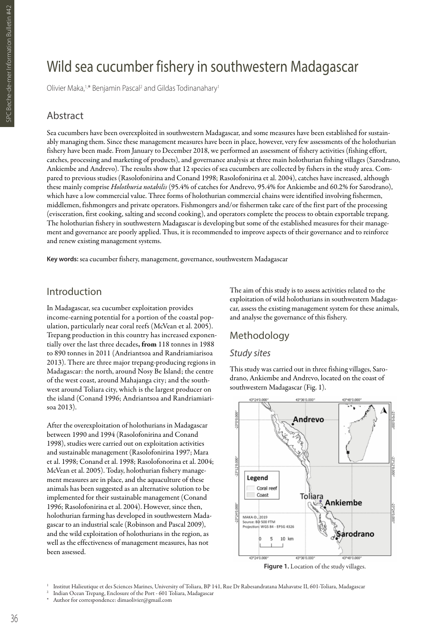# Wild sea cucumber fishery in southwestern Madagascar

Olivier Maka,<sup>1,\*</sup> Benjamin Pascal<sup>2</sup> and Gildas Todinanahary<sup>1</sup>

#### Abstract

Sea cucumbers have been overexploited in southwestern Madagascar, and some measures have been established for sustainably managing them. Since these management measures have been in place, however, very few assessments of the holothurian fishery have been made. From January to December 2018, we performed an assessment of fishery activities (fishing effort, catches, processing and marketing of products), and governance analysis at three main holothurian fishing villages (Sarodrano, Ankiembe and Andrevo). The results show that 12 species of sea cucumbers are collected by fishers in the study area. Compared to previous studies (Rasolofonirina and Conand 1998; Rasolofonirina et al. 2004), catches have increased, although these mainly comprise *Holothuria notabilis* (95.4% of catches for Andrevo, 95.4% for Ankiembe and 60.2% for Sarodrano), which have a low commercial value. Three forms of holothurian commercial chains were identified involving fishermen, middlemen, fishmongers and private operators. Fishmongers and/or fishermen take care of the first part of the processing (evisceration, first cooking, salting and second cooking), and operators complete the process to obtain exportable trepang. The holothurian fishery in southwestern Madagascar is developing but some of the established measures for their management and governance are poorly applied. Thus, it is recommended to improve aspects of their governance and to reinforce and renew existing management systems.

**Key words:** sea cucumber fishery, management, governance, southwestern Madagascar

## Introduction

In Madagascar, sea cucumber exploitation provides income-earning potential for a portion of the coastal population, particularly near coral reefs (McVean et al. 2005). Trepang production in this country has increased exponentially over the last three decades, from 118 tonnes in 1988 to 890 tonnes in 2011 (Andriantsoa and Randriamiarisoa 2013). There are three major trepang-producing regions in Madagascar: the north, around Nosy Be Island; the centre of the west coast, around Mahajanga city; and the southwest around Toliara city, which is the largest producer on the island (Conand 1996; Andriantsoa and Randriamiarisoa 2013).

After the overexploitation of holothurians in Madagascar between 1990 and 1994 (Rasolofonirina and Conand 1998), studies were carried out on exploitation activities and sustainable management (Rasolofonirina 1997; Mara et al. 1998; Conand et al. 1998; Rasolofonorina et al. 2004; McVean et al. 2005). Today, holothurian fishery management measures are in place, and the aquaculture of these animals has been suggested as an alternative solution to be implemented for their sustainable management (Conand 1996; Rasolofonirina et al. 2004). However, since then, holothurian farming has developed in southwestern Madagascar to an industrial scale (Robinson and Pascal 2009), and the wild exploitation of holothurians in the region, as well as the effectiveness of management measures, has not been assessed.

The aim of this study is to assess activities related to the exploitation of wild holothurians in southwestern Madagascar, assess the existing management system for these animals, and analyse the governance of this fishery.

# Methodology

#### *Study sites*

This study was carried out in three fishing villages, Sarodrano, Ankiembe and Andrevo, located on the coast of southwestern Madagascar (Fig. 1).



Figure 1. Location of the study villages.

<sup>1</sup> Institut Halieutique et des Sciences Marines, University of Toliara, BP 141, Rue Dr Rabesandratana Mahavatse II, 601-Toliara, Madagascar

Indian Ocean Trepang, Enclosure of the Port - 601 Toliara, Madagascar

Author for correspondence: dimaolivier@gmail.com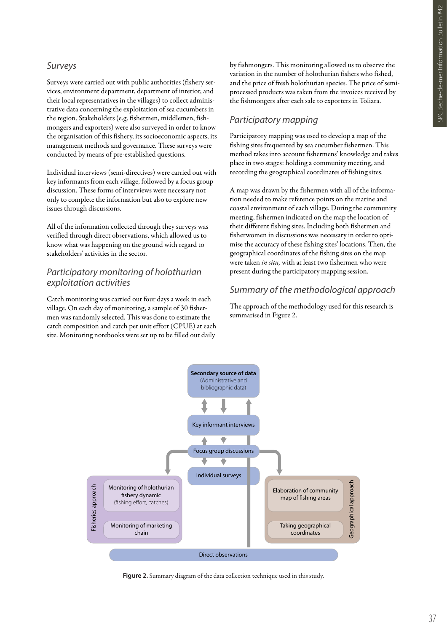#### *Surveys*

Surveys were carried out with public authorities (fishery services, environment department, department of interior, and their local representatives in the villages) to collect administrative data concerning the exploitation of sea cucumbers in the region. Stakeholders (e.g. fishermen, middlemen, fishmongers and exporters) were also surveyed in order to know the organisation of this fishery, its socioeconomic aspects, its management methods and governance. These surveys were conducted by means of pre-established questions.

Individual interviews (semi-directives) were carried out with key informants from each village, followed by a focus group discussion. These forms of interviews were necessary not only to complete the information but also to explore new issues through discussions.

All of the information collected through they surveys was verified through direct observations, which allowed us to know what was happening on the ground with regard to stakeholders' activities in the sector.

#### *Participatory monitoring of holothurian exploitation activities*

Catch monitoring was carried out four days a week in each village. On each day of monitoring, a sample of 30 fishermen was randomly selected. This was done to estimate the catch composition and catch per unit effort (CPUE) at each site. Monitoring notebooks were set up to be filled out daily

by fishmongers. This monitoring allowed us to observe the variation in the number of holothurian fishers who fished, and the price of fresh holothurian species. The price of semiprocessed products was taken from the invoices received by the fishmongers after each sale to exporters in Toliara.

#### *Participatory mapping*

Participatory mapping was used to develop a map of the fishing sites frequented by sea cucumber fishermen. This method takes into account fishermens' knowledge and takes place in two stages: holding a community meeting, and recording the geographical coordinates of fishing sites.

A map was drawn by the fishermen with all of the information needed to make reference points on the marine and coastal environment of each village. During the community meeting, fishermen indicated on the map the location of their different fishing sites. Including both fishermen and fisherwomen in discussions was necessary in order to optimise the accuracy of these fishing sites' locations. Then, the geographical coordinates of the fishing sites on the map were taken *in situ,* with at least two fishermen who were present during the participatory mapping session.

### *Summary of the methodological approach*

The approach of the methodology used for this research is summarised in Figure 2.



**Figure 2.** Summary diagram of the data collection technique used in this study.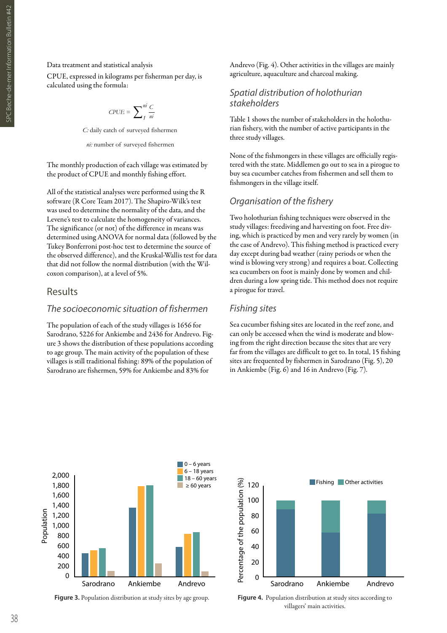#### Data treatment and statistical analysis

CPUE, expressed in kilograms per fisherman per day, is calculated using the formula:

$$
C P U E = \sum_{1}^{ni} \frac{C}{ni}
$$

*C:* daily catch of surveyed fishermen

*ni:* number of surveyed fishermen

The monthly production of each village was estimated by the product of CPUE and monthly fishing effort.

All of the statistical analyses were performed using the R software (R Core Team 2017). The Shapiro-Wilk's test was used to determine the normality of the data, and the Levene's test to calculate the homogeneity of variances. The significance (or not) of the difference in means was determined using ANOVA for normal data (followed by the Tukey Bonferroni post-hoc test to determine the source of the observed difference), and the Kruskal-Wallis test for data that did not follow the normal distribution (with the Wilcoxon comparison), at a level of 5%.

#### Results

#### *The socioeconomic situation of fishermen*

The population of each of the study villages is 1656 for Sarodrano, 5226 for Ankiembe and 2436 for Andrevo. Figure 3 shows the distribution of these populations according to age group. The main activity of the population of these villages is still traditional fishing: 89% of the population of Sarodrano are fishermen, 59% for Ankiembe and 83% for

Andrevo (Fig. 4). Other activities in the villages are mainly agriculture, aquaculture and charcoal making.

#### *Spatial distribution of holothurian stakeholders*

Table 1 shows the number of stakeholders in the holothurian fishery, with the number of active participants in the three study villages.

None of the fishmongers in these villages are officially registered with the state. Middlemen go out to sea in a pirogue to buy sea cucumber catches from fishermen and sell them to fishmongers in the village itself.

#### *Organisation of the fishery*

Two holothurian fishing techniques were observed in the study villages: freediving and harvesting on foot. Free diving, which is practiced by men and very rarely by women (in the case of Andrevo). This fishing method is practiced every day except during bad weather (rainy periods or when the wind is blowing very strong) and requires a boat. Collecting sea cucumbers on foot is mainly done by women and children during a low spring tide. This method does not require a pirogue for travel.

#### *Fishing sites*

Sea cucumber fishing sites are located in the reef zone, and can only be accessed when the wind is moderate and blowing from the right direction because the sites that are very far from the villages are difficult to get to. In total, 15 fishing sites are frequented by fishermen in Sarodrano (Fig. 5), 20 in Ankiembe (Fig. 6) and 16 in Andrevo (Fig. 7).



**Figure 3.** Population distribution at study sites by age group. **Figure 4.** Population distribution at study sites according to



villagers' main activities.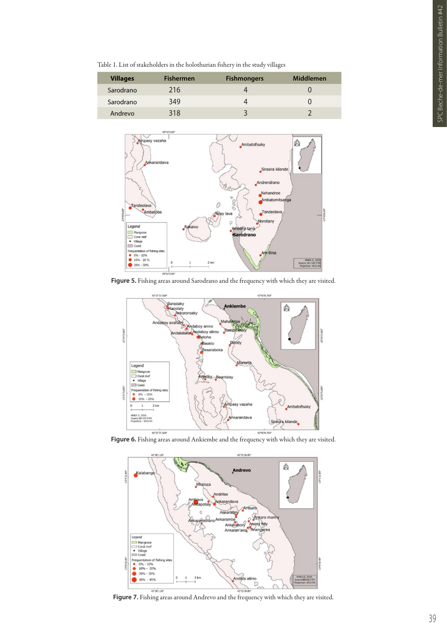Table 1. List of stakeholders in the holothurian fishery in the study villages

| <b>Villages</b> | <b>Fishermen</b> | <b>Fishmongers</b> | Middlemen |
|-----------------|------------------|--------------------|-----------|
| Sarodrano       | 216              |                    |           |
| Sarodrano       | 349              |                    |           |
| Andrevo         | 318              |                    |           |



**Figure 5.** Fishing areas around Sarodrano and the frequency with which they are visited.



**Figure 6.** Fishing areas around Ankiembe and the frequency with which they are visited.



**Figure 7.** Fishing areas around Andrevo and the frequency with which they are visited.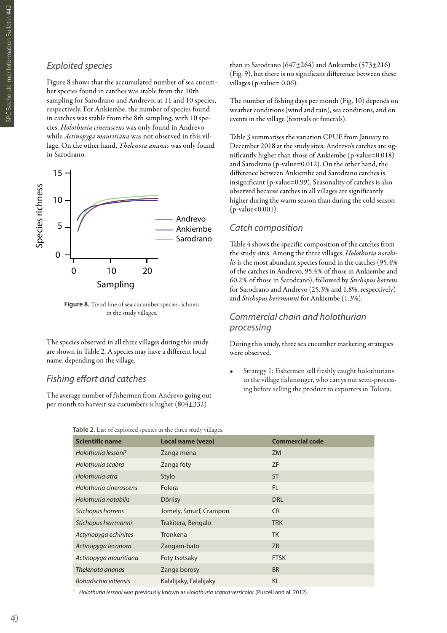#### *Exploited species*

Figure 8 shows that the accumulated number of sea cucumber species found in catches was stable from the 10th sampling for Sarodrano and Andrevo, at 11 and 10 species, respectively. For Ankiembe, the number of species found in catches was stable from the 8th sampling, with 10 species. *Holothuria cinerascens* was only found in Andrevo while *Actinopyga mauritiana* was not observed in this village. On the other hand, *Thelenota ananas* was only found in Sarodrano.



**Figure 8.** Trend line of sea cucumber species richness in the study villages.

The species observed in all three villages during this study are shown in Table 2. A species may have a different local name, depending on the village.

#### *Fishing effort and catches*

The average number of fishermen from Andrevo going out per month to harvest sea cucumbers is higher (804±332)

than in Sarodrano (647±264) and Ankiembe (573±216) (Fig. 9), but there is no significant difference between these villages (p-value= 0.06).

The number of fishing days per month (Fig. 10) depends on weather conditions (wind and rain), sea conditions, and on events in the village (festivals or funerals).

Table 3 summarises the variation CPUE from January to December 2018 at the study sites. Andrevo's catches are significantly higher than those of Ankiembe (p-value=0.018) and Sarodrano (p-value=0.012). On the other hand, the difference between Ankiembe and Sarodrano catches is insignificant (p-value=0.99). Seasonality of catches is also observed because catches in all villages are significantly higher during the warm season than during the cold season (p-value<0.001).

#### *Catch composition*

Table 4 shows the specific composition of the catches from the study sites. Among the three villages, *Holothuria notabilis* is the most abundant species found in the catches (95.4% of the catches in Andrevo, 95.4% of those in Ankiembe and 60.2% of those in Sarodrano), followed by *Stichopus horrens* for Sarodrano and Andrevo (25.3% and 1.8%, respectively) and *Stichopus herrmanni* for Ankiembe (1.3%).

#### *Commercial chain and holothurian processing*

During this study, three sea cucumber marketing strategies were observed.

Strategy 1: Fishermen sell freshly caught holothurians to the village fishmonger, who carrys out semi-processing before selling the product to exporters in Toliara;

| <b>Scientific name</b>          | <b>Local name (vezo)</b> | <b>Commercial code</b> |
|---------------------------------|--------------------------|------------------------|
| Holothuria lessoni <sup>3</sup> | Zanga mena               | ZM                     |
| Holothuria scabra               | Zanga foty               | <b>ZF</b>              |
| Holothuria atra                 | Stylo                    | <b>ST</b>              |
| Holothuria cinerascens          | Folera                   | <b>FL</b>              |
| Holothuria notabilis            | Dôrlisy                  | <b>DRL</b>             |
| Stichopus horrens               | Jomely, Smurf, Crampon   | <b>CR</b>              |
| Stichopus herrmanni             | Trakitera, Bengalo       | <b>TRK</b>             |
| Actynopyga echinites            | Tronkena                 | <b>TK</b>              |
| Actinopyga lecanora             | Zangam-bato              | <b>ZB</b>              |
| Actinopyga mauritiana           | Foty tsetsaky            | <b>FTSK</b>            |
| Thelenota ananas                | Zanga borosy             | <b>BR</b>              |
| Bohadschia vitiensis            | Kalalijaky, Falalijaky   | <b>KL</b>              |
|                                 |                          |                        |

**Table 2.** List of exploited species in the three study villages.

<sup>3</sup> *Holothuria lessoni* was previously known as *Holothuria scabra versicolor* (Purcell and al. 2012).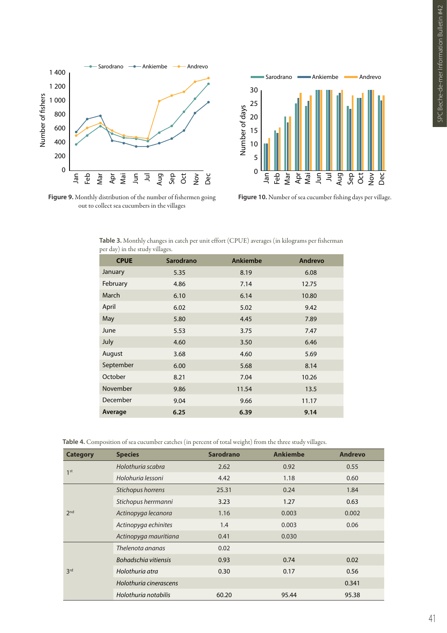



**Figure 9.** Monthly distribution of the number of fishermen going out to collect sea cucumbers in the villages

**Figure 10.** Number of sea cucumber fishing days per village.

| <b>CPUE</b> | <b>Sarodrano</b> | Ankiembe | Andrevo |
|-------------|------------------|----------|---------|
| January     | 5.35             | 8.19     | 6.08    |
| February    | 4.86             | 7.14     | 12.75   |
| March       | 6.10             | 6.14     | 10.80   |
| April       | 6.02             | 5.02     | 9.42    |
| May         | 5.80             | 4.45     | 7.89    |
| June        | 5.53             | 3.75     | 7.47    |
| July        | 4.60             | 3.50     | 6.46    |
| August      | 3.68             | 4.60     | 5.69    |
| September   | 6.00             | 5.68     | 8.14    |
| October     | 8.21             | 7.04     | 10.26   |
| November    | 9.86             | 11.54    | 13.5    |
| December    | 9.04             | 9.66     | 11.17   |
| Average     | 6.25             | 6.39     | 9.14    |
|             |                  |          |         |

**Table 3.** Monthly changes in catch per unit effort (CPUE) averages (in kilograms per fisherman per day) in the study villages.

**Table 4.** Composition of sea cucumber catches (in percent of total weight) from the three study villages.

| <b>Category</b> | <b>Species</b>         | <b>Sarodrano</b> | <b>Ankiembe</b> | <b>Andrevo</b> |
|-----------------|------------------------|------------------|-----------------|----------------|
| 1 <sup>st</sup> | Holothuria scabra      | 2.62             | 0.92            | 0.55           |
|                 | Holohuria lessoni      | 4.42             | 1.18            | 0.60           |
| 2 <sub>nd</sub> | Stichopus horrens      | 25.31            | 0.24            | 1.84           |
|                 | Stichopus herrmanni    | 3.23             | 1.27            | 0.63           |
|                 | Actinopyga lecanora    | 1.16             | 0.003           | 0.002          |
|                 | Actinopyga echinites   | 1.4              | 0.003           | 0.06           |
|                 | Actinopyga mauritiana  | 0.41             | 0.030           |                |
| 3 <sup>rd</sup> | Thelenota ananas       | 0.02             |                 |                |
|                 | Bohadschia vitiensis   | 0.93             | 0.74            | 0.02           |
|                 | Holothuria atra        | 0.30             | 0.17            | 0.56           |
|                 | Holothuria cinerascens |                  |                 | 0.341          |
|                 | Holothuria notabilis   | 60.20            | 95.44           | 95.38          |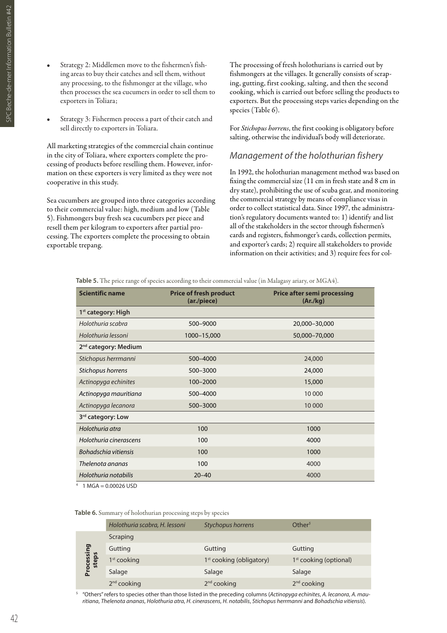- SPC Beche-de-mer Information Bulletin #42 SPC Beche-de-mer Information Bulletin #42<br>N
- Strategy 2: Middlemen move to the fishermen's fishing areas to buy their catches and sell them, without any processing, to the fishmonger at the village, who then processes the sea cucumers in order to sell them to exporters in Toliara;
- Strategy 3: Fishermen process a part of their catch and sell directly to exporters in Toliara.

All marketing strategies of the commercial chain continue in the city of Toliara, where exporters complete the processing of products before reselling them. However, information on these exporters is very limited as they were not cooperative in this study.

Sea cucumbers are grouped into three categories according to their commercial value: high, medium and low (Table 5). Fishmongers buy fresh sea cucumbers per piece and resell them per kilogram to exporters after partial processing. The exporters complete the processing to obtain exportable trepang.

The processing of fresh holothurians is carried out by fishmongers at the villages. It generally consists of scraping, gutting, first cooking, salting, and then the second cooking, which is carried out before selling the products to exporters. But the processing steps varies depending on the species (Table 6).

For *Stichopus horrens*, the first cooking is obligatory before salting, otherwise the individual's body will deteriorate.

#### *Management of the holothurian fishery*

In 1992, the holothurian management method was based on fixing the commercial size (11 cm in fresh state and 8 cm in dry state), prohibiting the use of scuba gear, and monitoring the commercial strategy by means of compliance visas in order to collect statistical data. Since 1997, the administration's regulatory documents wanted to: 1) identify and list all of the stakeholders in the sector through fishermen's cards and registers, fishmonger's cards, collection permits, and exporter's cards; 2) require all stakeholders to provide information on their activities; and 3) require fees for col-

**Table 5.** The price range of species according to their commercial value (in Malagasy ariary, or MGA4).

| <b>Scientific name</b>           | <b>Price of fresh product</b><br>(ar./piece) | <b>Price after semi processing</b><br>(Ar./kg) |
|----------------------------------|----------------------------------------------|------------------------------------------------|
| 1 <sup>st</sup> category: High   |                                              |                                                |
| Holothuria scabra                | 500-9000                                     | 20,000-30,000                                  |
| Holothuria lessoni               | 1000-15,000                                  | 50,000-70,000                                  |
| 2 <sup>nd</sup> category: Medium |                                              |                                                |
| Stichopus herrmanni              | 500-4000                                     | 24,000                                         |
| Stichopus horrens                | 500-3000                                     | 24,000                                         |
| Actinopyga echinites             | 100-2000                                     | 15,000                                         |
| Actinopyga mauritiana            | 500-4000                                     | 10 000                                         |
| Actinopyga lecanora              | 500-3000                                     | 10 000                                         |
| 3rd category: Low                |                                              |                                                |
| Holothuria atra                  | 100                                          | 1000                                           |
| Holothuria cinerascens           | 100                                          | 4000                                           |
| Bohadschia vitiensis             | 100                                          | 1000                                           |
| Thelenota ananas                 | 100                                          | 4000                                           |
| Holothuria notabilis             | $20 - 40$                                    | 4000                                           |

 $4$  1 MGA = 0.00026 USD

**Table 6.** Summary of holothurian processing steps by species

|                     | Holothuria scabra, H. lessoni | <b>Stychopus horrens</b>             | $O$ ther <sup>5</sup>    |
|---------------------|-------------------------------|--------------------------------------|--------------------------|
| Processing<br>steps | Scraping                      |                                      |                          |
|                     | Gutting                       | Gutting                              | Gutting                  |
|                     | $1st$ cooking                 | 1 <sup>st</sup> cooking (obligatory) | $1st$ cooking (optional) |
|                     | Salage                        | Salage                               | Salage                   |
|                     | $2nd$ cooking                 | $2nd$ cooking                        | $2nd$ cooking            |

<sup>5</sup> "Others" refers to species other than those listed in the preceding columns (*Actinopyga echinites*, *A. lecanora*, *A. mauritiana*, *Thelenota ananas*, *Holothuria atra*, *H. cinerascens*, *H. notabilis*, *Stichopus herrmanni* and *Bohadschia vitiensis*).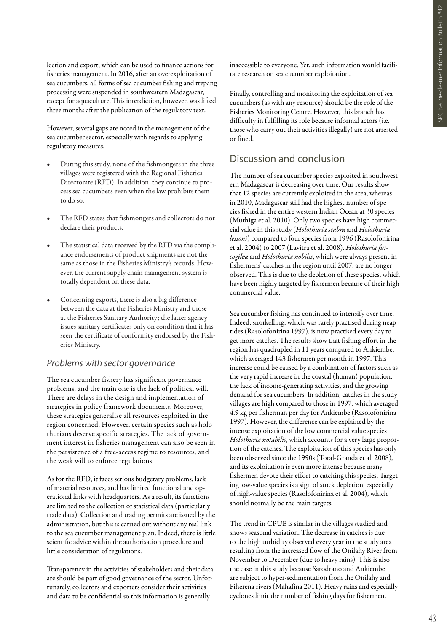lection and export, which can be used to finance actions for fisheries management. In 2016, after an overexploitation of sea cucumbers, all forms of sea cucumber fishing and trepang processing were suspended in southwestern Madagascar, except for aquaculture. This interdiction, however, was lifted three months after the publication of the regulatory text.

However, several gaps are noted in the management of the sea cucumber sector, especially with regards to applying regulatory measures.

- During this study, none of the fishmongers in the three villages were registered with the Regional Fisheries Directorate (RFD). In addition, they continue to process sea cucumbers even when the law prohibits them to do so.
- The RFD states that fishmongers and collectors do not declare their products.
- The statistical data received by the RFD via the compliance endorsements of product shipments are not the same as those in the Fisheries Ministry's records. However, the current supply chain management system is totally dependent on these data.
- Concerning exports, there is also a big difference between the data at the Fisheries Ministry and those at the Fisheries Sanitary Authority; the latter agency issues sanitary certificates only on condition that it has seen the certificate of conformity endorsed by the Fisheries Ministry.

#### *Problems with sector governance*

The sea cucumber fishery has significant governance problems, and the main one is the lack of political will. There are delays in the design and implementation of strategies in policy framework documents. Moreover, these strategies generalise all resources exploited in the region concerned. However, certain species such as holothurians deserve specific strategies. The lack of government interest in fisheries management can also be seen in the persistence of a free-access regime to resources, and the weak will to enforce regulations.

As for the RFD, it faces serious budgetary problems, lack of material resources, and has limited functional and operational links with headquarters. As a result, its functions are limited to the collection of statistical data (particularly trade data). Collection and trading permits are issued by the administration, but this is carried out without any real link to the sea cucumber management plan. Indeed, there is little scientific advice within the authorisation procedure and little consideration of regulations.

Transparency in the activities of stakeholders and their data are should be part of good governance of the sector. Unfortunately, collectors and exporters consider their activities and data to be confidential so this information is generally

inaccessible to everyone. Yet, such information would facilitate research on sea cucumber exploitation.

Finally, controlling and monitoring the exploitation of sea cucumbers (as with any resource) should be the role of the Fisheries Monitoring Centre. However, this branch has difficulty in fulfilling its role because informal actors (i.e. those who carry out their activities illegally) are not arrested or fined.

#### Discussion and conclusion

The number of sea cucumber species exploited in southwestern Madagascar is decreasing over time. Our results show that 12 species are currently exploited in the area, whereas in 2010, Madagascar still had the highest number of species fished in the entire western Indian Ocean at 30 species (Muthiga et al. 2010). Only two species have high commercial value in this study (*Holothuria scabra* and *Holothuria lessoni*) compared to four species from 1996 (Rasolofonirina et al. 2004) to 2007 (Lavitra et al. 2008). *Holothuria fuscogilva* and *Holothuria nobilis*, which were always present in fishermens' catches in the region until 2007, are no longer observed. This is due to the depletion of these species, which have been highly targeted by fishermen because of their high commercial value.

Sea cucumber fishing has continued to intensify over time. Indeed, snorkelling, which was rarely practised during neap tides (Rasolofonirina 1997), is now practised every day to get more catches. The results show that fishing effort in the region has quadrupled in 11 years compared to Ankiembe, which averaged 143 fishermen per month in 1997. This increase could be caused by a combination of factors such as the very rapid increase in the coastal (human) population, the lack of income-generating activities, and the growing demand for sea cucumbers. In addition, catches in the study villages are high compared to those in 1997, which averaged 4.9 kg per fisherman per day for Ankiembe (Rasolofonirina 1997). However, the difference can be explained by the intense exploitation of the low commercial value species *Holothuria notabilis*, which accounts for a very large proportion of the catches. The exploitation of this species has only been observed since the 1990s (Toral-Granda et al. 2008), and its exploitation is even more intense because many fishermen devote their effort to catching this species. Targeting low-value species is a sign of stock depletion, especially of high-value species (Rasolofonirina et al. 2004), which should normally be the main targets.

The trend in CPUE is similar in the villages studied and shows seasonal variation. The decrease in catches is due to the high turbidity observed every year in the study area resulting from the increased flow of the Onilahy River from November to December (due to heavy rains). This is also the case in this study because Sarodrano and Ankiembe are subject to hyper-sedimentation from the Onilahy and Fiherena rivers (Mahafina 2011). Heavy rains and especially cyclones limit the number of fishing days for fishermen.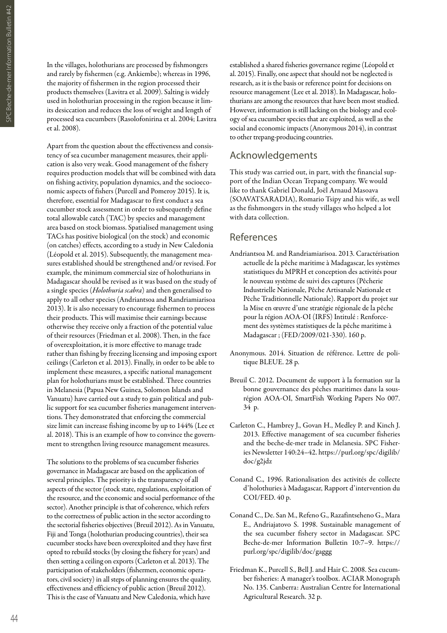In the villages, holothurians are processed by fishmongers and rarely by fishermen (e.g. Ankiembe); whereas in 1996, the majority of fishermen in the region processed their products themselves (Lavitra et al. 2009). Salting is widely used in holothurian processing in the region because it limits desiccation and reduces the loss of weight and length of processed sea cucumbers (Rasolofonirina et al. 2004; Lavitra et al. 2008).

Apart from the question about the effectiveness and consistency of sea cucumber management measures, their application is also very weak. Good management of the fishery requires production models that will be combined with data on fishing activity, population dynamics, and the socioeconomic aspects of fishers (Purcell and Pomeroy 2015). It is, therefore, essential for Madagascar to first conduct a sea cucumber stock assessment in order to subsequently define total allowable catch (TAC) by species and management area based on stock biomass. Spatialised management using TACs has positive biological (on the stock) and economic (on catches) effects, according to a study in New Caledonia (Léopold et al. 2015). Subsequently, the management measures established should be strengthened and/or revised. For example, the minimum commercial size of holothurians in Madagascar should be revised as it was based on the study of a single species (*Holothuria scabra*) and then generalised to apply to all other species (Andriantsoa and Randriamiarisoa 2013). It is also necessary to encourage fishermen to process their products. This will maximise their earnings because otherwise they receive only a fraction of the potential value of their resources (Friedman et al. 2008). Then, in the face of overexploitation, it is more effective to manage trade rather than fishing by freezing licensing and imposing export ceilings (Carleton et al. 2013). Finally, in order to be able to implement these measures, a specific national management plan for holothurians must be established. Three countries in Melanesia (Papua New Guinea, Solomon Islands and Vanuatu) have carried out a study to gain political and public support for sea cucumber fisheries management interventions. They demonstrated that enforcing the commercial size limit can increase fishing income by up to 144% (Lee et al. 2018). This is an example of how to convince the government to strengthen living resource management measures.

The solutions to the problems of sea cucumber fisheries governance in Madagascar are based on the application of several principles. The priority is the transparency of all aspects of the sector (stock state, regulations, exploitation of the resource, and the economic and social performance of the sector). Another principle is that of coherence, which refers to the correctness of public action in the sector according to the sectorial fisheries objectives (Breuil 2012). As in Vanuatu, Fiji and Tonga (holothurian producing countries), their sea cucumber stocks have been overexploited and they have first opted to rebuild stocks (by closing the fishery for years) and then setting a ceiling on exports (Carleton et al. 2013). The participation of stakeholders (fishermen, economic operators, civil society) in all steps of planning ensures the quality, effectiveness and efficiency of public action (Breuil 2012). This is the case of Vanuatu and New Caledonia, which have

established a shared fisheries governance regime (Léopold et al. 2015). Finally, one aspect that should not be neglected is research, as it is the basis or reference point for decisions on resource management (Lee et al. 2018). In Madagascar, holothurians are among the resources that have been most studied. However, information is still lacking on the biology and ecology of sea cucumber species that are exploited, as well as the social and economic impacts (Anonymous 2014), in contrast to other trepang-producing countries.

### Acknowledgements

This study was carried out, in part, with the financial support of the Indian Ocean Trepang company. We would like to thank Gabriel Donald, Joël Arnaud Masoava (SOAVATSARADIA), Romario Tsipy and his wife, as well as the fishmongers in the study villages who helped a lot with data collection.

### References

- Andriantsoa M. and Randriamiarisoa. 2013. Caractérisation actuelle de la pêche maritime à Madagascar, les systèmes statistiques du MPRH et conception des activités pour le nouveau système de suivi des captures (Pêcherie Industrielle Nationale, Pêche Artisanale Nationale et Pêche Traditionnelle Nationale). Rapport du projet sur la Mise en œuvre d'une stratégie régionale de la pêche pour la région AOA-OI (IRFS) Intitulé : Renforcement des systèmes statistiques de la pêche maritime à Madagascar ; (FED/2009/021-330). 160 p.
- Anonymous. 2014. Situation de référence. Lettre de politique BLEUE. 28 p.
- Breuil C. 2012. Document de support à la formation sur la bonne gouvernance des pêches maritimes dans la sousrégion AOA-OI, SmartFish Working Papers No 007. 34 p.
- Carleton C., Hambrey J., Govan H., Medley P. and Kinch J. 2013. Effective management of sea cucumber fisheries and the beche-de-mer trade in Melanesia. SPC Fisheries Newsletter 140:24–42. https://purl.org/spc/digilib/ doc/g2jdz
- Conand C., 1996. Rationalisation des activités de collecte d'holothuries à Madagascar, Rapport d'intervention du COI/FED. 40 p.
- Conand C., De. San M., Refeno G., Razafintseheno G., Mara E., Andriajatovo S. 1998. Sustainable management of the sea cucumber fishery sector in Madagascar. SPC Beche-de-mer Information Bulletin 10:7–9. https:// purl.org/spc/digilib/doc/gaggg
- Friedman K., Purcell S., Bell J. and Hair C. 2008. Sea cucumber fisheries: A manager's toolbox. ACIAR Monograph No. 135. Canberra: Australian Centre for International Agricultural Research. 32 p.